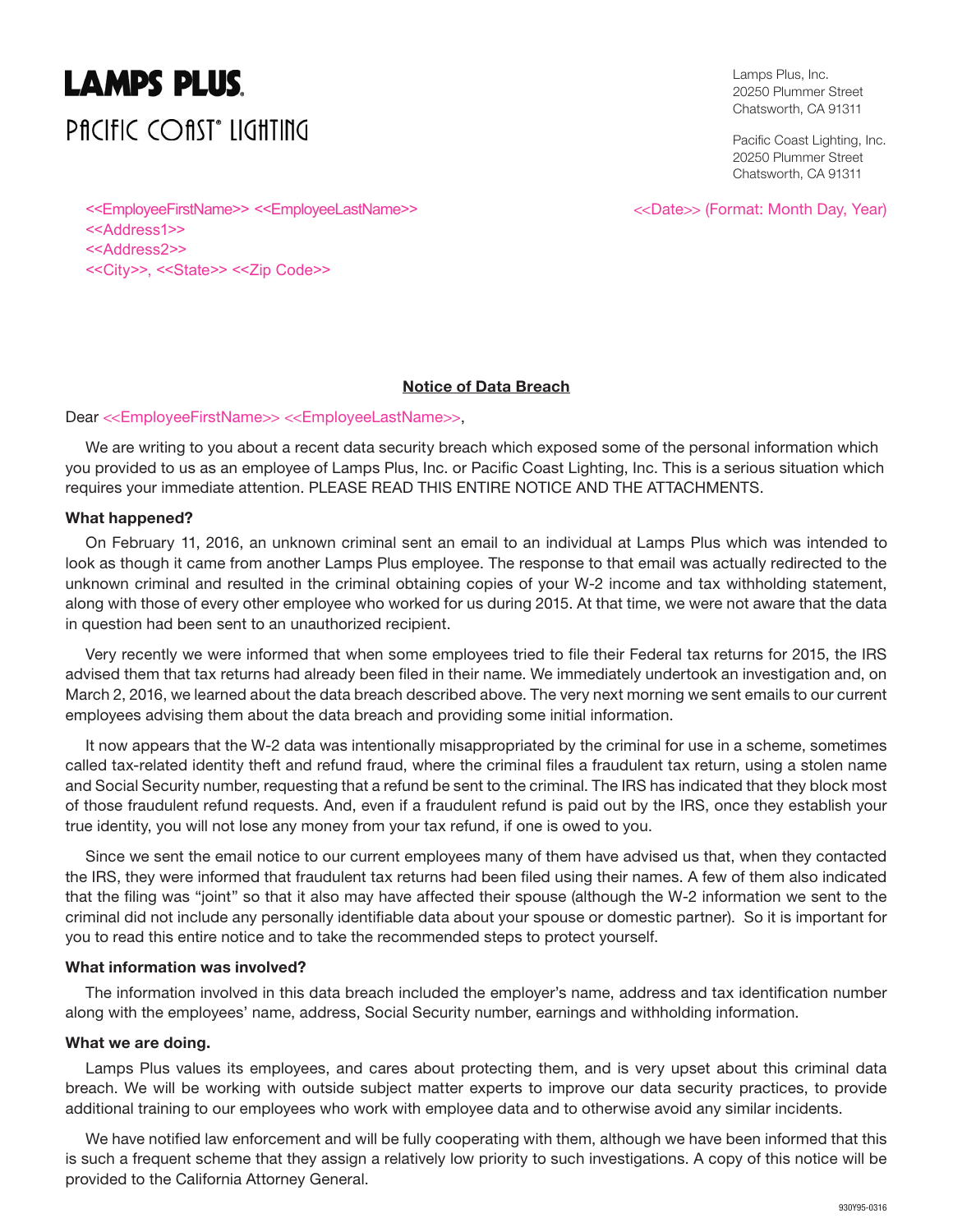# **LAMPS PLUS. PACIFIC COAST® LIGHTING**

Lamps Plus, Inc. 20250 Plummer Street Chatsworth, CA 91311

Pacific Coast Lighting, Inc. 20250 Plummer Street Chatsworth, CA 91311

<<Date>> (Format: Month Day, Year)

<<EmployeeFirstName>> <<EmployeeLastName>> <<Address1>> <<Address2>> <<City>>, <<State>> <<Zip Code>>

# **Notice of Data Breach**

# Dear <<EmployeeFirstName>> <<EmployeeLastName>>,

We are writing to you about a recent data security breach which exposed some of the personal information which you provided to us as an employee of Lamps Plus, Inc. or Pacific Coast Lighting, Inc. This is a serious situation which requires your immediate attention. PLEASE READ THIS ENTIRE NOTICE AND THE ATTACHMENTS.

# **What happened?**

On February 11, 2016, an unknown criminal sent an email to an individual at Lamps Plus which was intended to look as though it came from another Lamps Plus employee. The response to that email was actually redirected to the unknown criminal and resulted in the criminal obtaining copies of your W-2 income and tax withholding statement, along with those of every other employee who worked for us during 2015. At that time, we were not aware that the data in question had been sent to an unauthorized recipient.

Very recently we were informed that when some employees tried to file their Federal tax returns for 2015, the IRS advised them that tax returns had already been filed in their name. We immediately undertook an investigation and, on March 2, 2016, we learned about the data breach described above. The very next morning we sent emails to our current employees advising them about the data breach and providing some initial information.

It now appears that the W-2 data was intentionally misappropriated by the criminal for use in a scheme, sometimes called tax-related identity theft and refund fraud, where the criminal files a fraudulent tax return, using a stolen name and Social Security number, requesting that a refund be sent to the criminal. The IRS has indicated that they block most of those fraudulent refund requests. And, even if a fraudulent refund is paid out by the IRS, once they establish your true identity, you will not lose any money from your tax refund, if one is owed to you.

Since we sent the email notice to our current employees many of them have advised us that, when they contacted the IRS, they were informed that fraudulent tax returns had been filed using their names. A few of them also indicated that the filing was "joint" so that it also may have affected their spouse (although the W-2 information we sent to the criminal did not include any personally identifiable data about your spouse or domestic partner). So it is important for you to read this entire notice and to take the recommended steps to protect yourself.

#### **What information was involved?**

The information involved in this data breach included the employer's name, address and tax identification number along with the employees' name, address, Social Security number, earnings and withholding information.

#### **What we are doing.**

Lamps Plus values its employees, and cares about protecting them, and is very upset about this criminal data breach. We will be working with outside subject matter experts to improve our data security practices, to provide additional training to our employees who work with employee data and to otherwise avoid any similar incidents.

We have notified law enforcement and will be fully cooperating with them, although we have been informed that this is such a frequent scheme that they assign a relatively low priority to such investigations. A copy of this notice will be provided to the California Attorney General.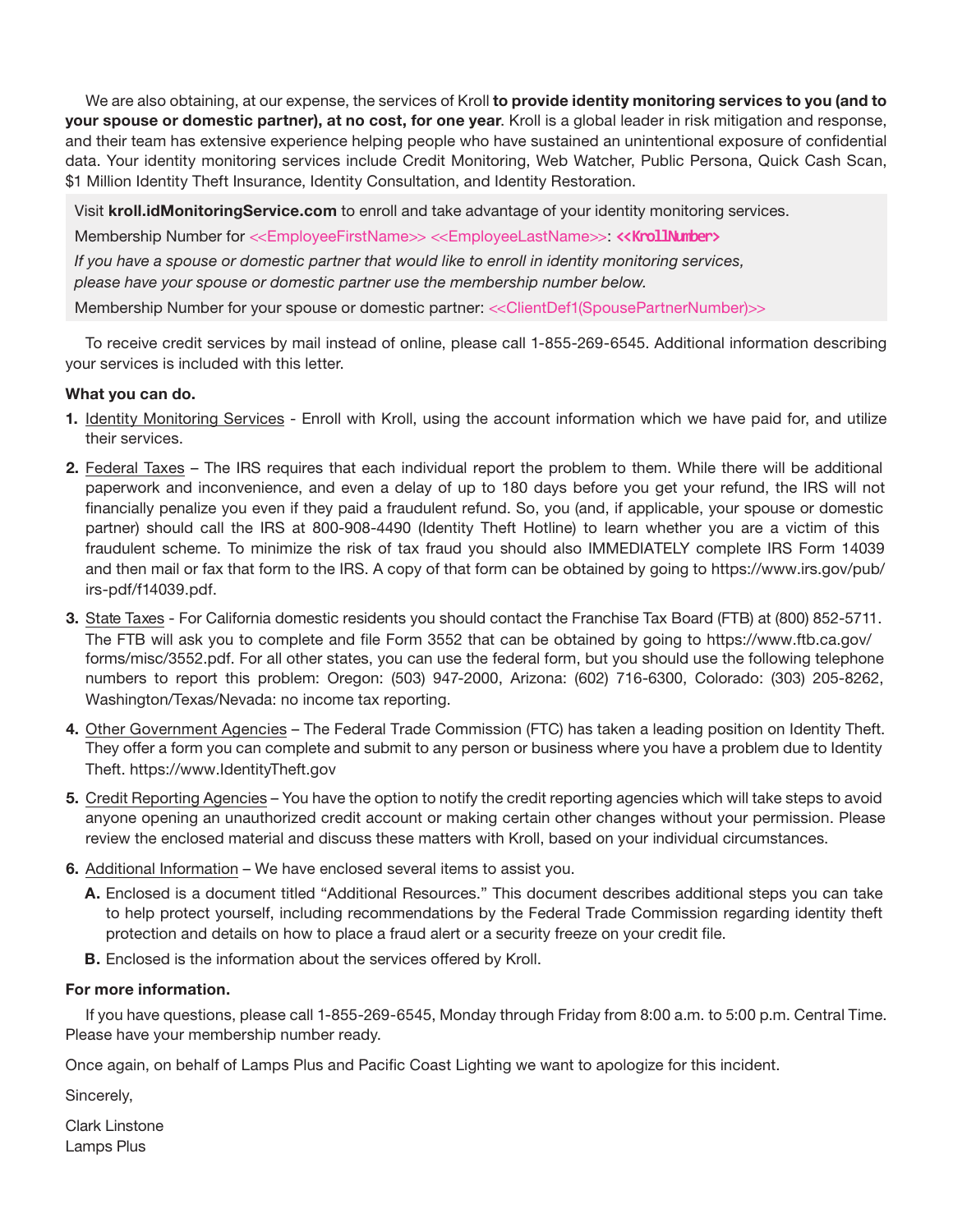We are also obtaining, at our expense, the services of Kroll **to provide identity monitoring services to you (and to your spouse or domestic partner), at no cost, for one year**. Kroll is a global leader in risk mitigation and response, and their team has extensive experience helping people who have sustained an unintentional exposure of confidential data. Your identity monitoring services include Credit Monitoring, Web Watcher, Public Persona, Quick Cash Scan, \$1 Million Identity Theft Insurance, Identity Consultation, and Identity Restoration.

Visit **kroll.idMonitoringService.com** to enroll and take advantage of your identity monitoring services.

Membership Number for <<EmployeeFirstName>> <<EmployeeLastName>>: **<<KrollNumber>**

*If you have a spouse or domestic partner that would like to enroll in identity monitoring services, please have your spouse or domestic partner use the membership number below.*

Membership Number for your spouse or domestic partner: <<ClientDef1(SpousePartnerNumber)>>

To receive credit services by mail instead of online, please call 1-855-269-6545. Additional information describing your services is included with this letter.

# **What you can do.**

- **1.** Identity Monitoring Services Enroll with Kroll, using the account information which we have paid for, and utilize their services.
- **2.** Federal Taxes The IRS requires that each individual report the problem to them. While there will be additional paperwork and inconvenience, and even a delay of up to 180 days before you get your refund, the IRS will not financially penalize you even if they paid a fraudulent refund. So, you (and, if applicable, your spouse or domestic partner) should call the IRS at 800-908-4490 (Identity Theft Hotline) to learn whether you are a victim of this fraudulent scheme. To minimize the risk of tax fraud you should also IMMEDIATELY complete IRS Form 14039 and then mail or fax that form to the IRS. A copy of that form can be obtained by going to https://www.irs.gov/pub/ irs-pdf/f14039.pdf.
- **3.** State Taxes For California domestic residents you should contact the Franchise Tax Board (FTB) at (800) 852-5711. The FTB will ask you to complete and file Form 3552 that can be obtained by going to https://www.ftb.ca.gov/ forms/misc/3552.pdf. For all other states, you can use the federal form, but you should use the following telephone numbers to report this problem: Oregon: (503) 947-2000, Arizona: (602) 716-6300, Colorado: (303) 205-8262, Washington/Texas/Nevada: no income tax reporting.
- **4.** Other Government Agencies The Federal Trade Commission (FTC) has taken a leading position on Identity Theft. They offer a form you can complete and submit to any person or business where you have a problem due to Identity Theft. https://www.IdentityTheft.gov
- **5.** Credit Reporting Agencies You have the option to notify the credit reporting agencies which will take steps to avoid anyone opening an unauthorized credit account or making certain other changes without your permission. Please review the enclosed material and discuss these matters with Kroll, based on your individual circumstances.
- **6.** Additional Information We have enclosed several items to assist you.
	- **A.** Enclosed is a document titled "Additional Resources." This document describes additional steps you can take to help protect yourself, including recommendations by the Federal Trade Commission regarding identity theft protection and details on how to place a fraud alert or a security freeze on your credit file.
	- **B.** Enclosed is the information about the services offered by Kroll.

# **For more information.**

If you have questions, please call 1-855-269-6545, Monday through Friday from 8:00 a.m. to 5:00 p.m. Central Time. Please have your membership number ready.

Once again, on behalf of Lamps Plus and Pacific Coast Lighting we want to apologize for this incident.

Sincerely,

Clark Linstone Lamps Plus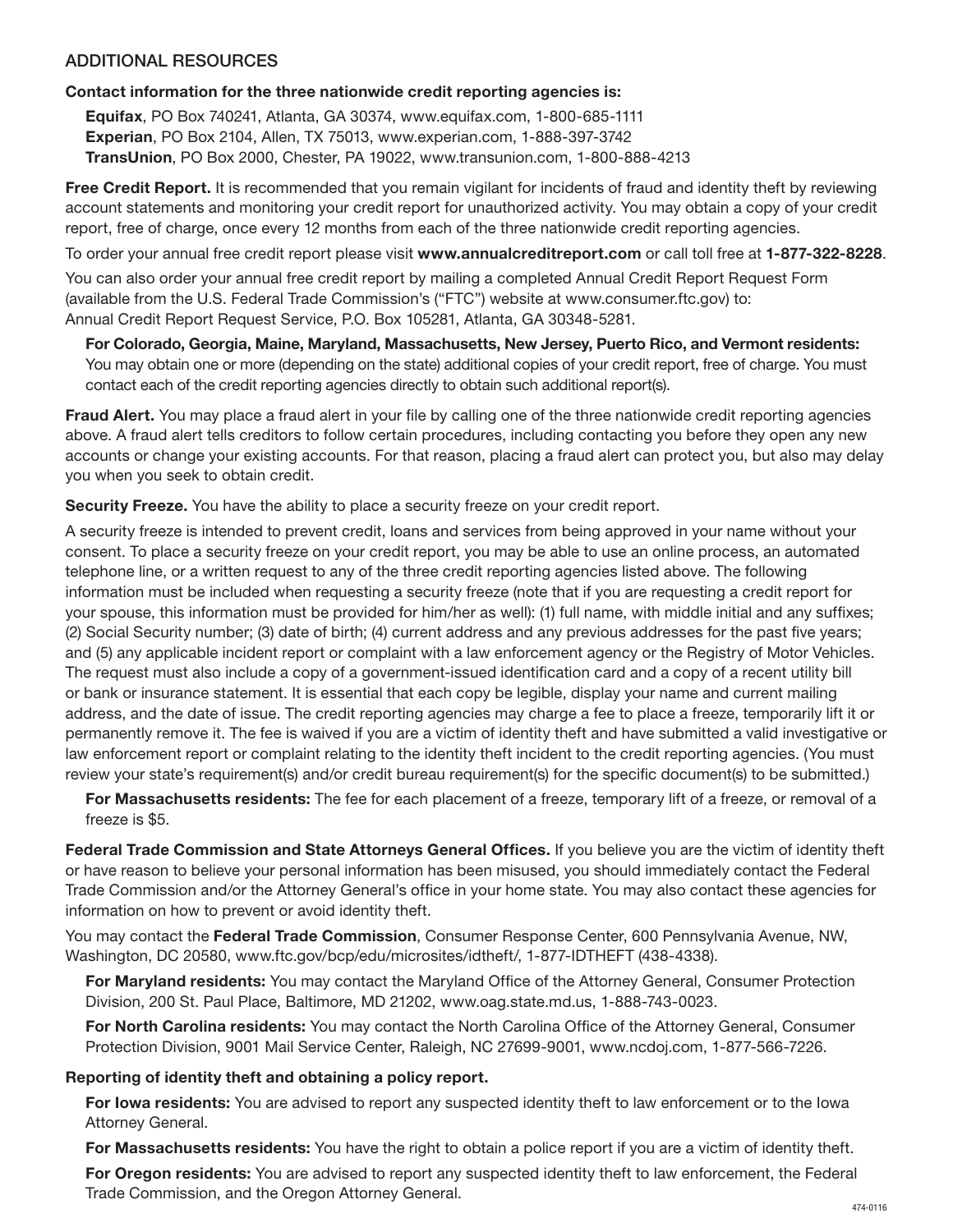# ADDITIONAL RESOURCES

# **Contact information for the three nationwide credit reporting agencies is:**

**Equifax**, PO Box 740241, Atlanta, GA 30374, www.equifax.com, 1-800-685-1111 **Experian**, PO Box 2104, Allen, TX 75013, www.experian.com, 1-888-397-3742 **TransUnion**, PO Box 2000, Chester, PA 19022, www.transunion.com, 1-800-888-4213

**Free Credit Report.** It is recommended that you remain vigilant for incidents of fraud and identity theft by reviewing account statements and monitoring your credit report for unauthorized activity. You may obtain a copy of your credit report, free of charge, once every 12 months from each of the three nationwide credit reporting agencies.

To order your annual free credit report please visit **www.annualcreditreport.com** or call toll free at **1-877-322-8228**. You can also order your annual free credit report by mailing a completed Annual Credit Report Request Form (available from the U.S. Federal Trade Commission's ("FTC") website at www.consumer.ftc.gov) to: Annual Credit Report Request Service, P.O. Box 105281, Atlanta, GA 30348-5281.

**For Colorado, Georgia, Maine, Maryland, Massachusetts, New Jersey, Puerto Rico, and Vermont residents:** You may obtain one or more (depending on the state) additional copies of your credit report, free of charge. You must contact each of the credit reporting agencies directly to obtain such additional report(s).

**Fraud Alert.** You may place a fraud alert in your file by calling one of the three nationwide credit reporting agencies above. A fraud alert tells creditors to follow certain procedures, including contacting you before they open any new accounts or change your existing accounts. For that reason, placing a fraud alert can protect you, but also may delay you when you seek to obtain credit.

**Security Freeze.** You have the ability to place a security freeze on your credit report.

A security freeze is intended to prevent credit, loans and services from being approved in your name without your consent. To place a security freeze on your credit report, you may be able to use an online process, an automated telephone line, or a written request to any of the three credit reporting agencies listed above. The following information must be included when requesting a security freeze (note that if you are requesting a credit report for your spouse, this information must be provided for him/her as well): (1) full name, with middle initial and any suffixes; (2) Social Security number; (3) date of birth; (4) current address and any previous addresses for the past five years; and (5) any applicable incident report or complaint with a law enforcement agency or the Registry of Motor Vehicles. The request must also include a copy of a government-issued identification card and a copy of a recent utility bill or bank or insurance statement. It is essential that each copy be legible, display your name and current mailing address, and the date of issue. The credit reporting agencies may charge a fee to place a freeze, temporarily lift it or permanently remove it. The fee is waived if you are a victim of identity theft and have submitted a valid investigative or law enforcement report or complaint relating to the identity theft incident to the credit reporting agencies. (You must review your state's requirement(s) and/or credit bureau requirement(s) for the specific document(s) to be submitted.)

**For Massachusetts residents:** The fee for each placement of a freeze, temporary lift of a freeze, or removal of a freeze is \$5.

**Federal Trade Commission and State Attorneys General Offices.** If you believe you are the victim of identity theft or have reason to believe your personal information has been misused, you should immediately contact the Federal Trade Commission and/or the Attorney General's office in your home state. You may also contact these agencies for information on how to prevent or avoid identity theft.

You may contact the **Federal Trade Commission**, Consumer Response Center, 600 Pennsylvania Avenue, NW, Washington, DC 20580, www.ftc.gov/bcp/edu/microsites/idtheft/, 1-877-IDTHEFT (438-4338).

**For Maryland residents:** You may contact the Maryland Office of the Attorney General, Consumer Protection Division, 200 St. Paul Place, Baltimore, MD 21202, www.oag.state.md.us, 1-888-743-0023.

**For North Carolina residents:** You may contact the North Carolina Office of the Attorney General, Consumer Protection Division, 9001 Mail Service Center, Raleigh, NC 27699-9001, www.ncdoj.com, 1-877-566-7226.

# **Reporting of identity theft and obtaining a policy report.**

**For Iowa residents:** You are advised to report any suspected identity theft to law enforcement or to the Iowa Attorney General.

**For Massachusetts residents:** You have the right to obtain a police report if you are a victim of identity theft.

**For Oregon residents:** You are advised to report any suspected identity theft to law enforcement, the Federal Trade Commission, and the Oregon Attorney General.